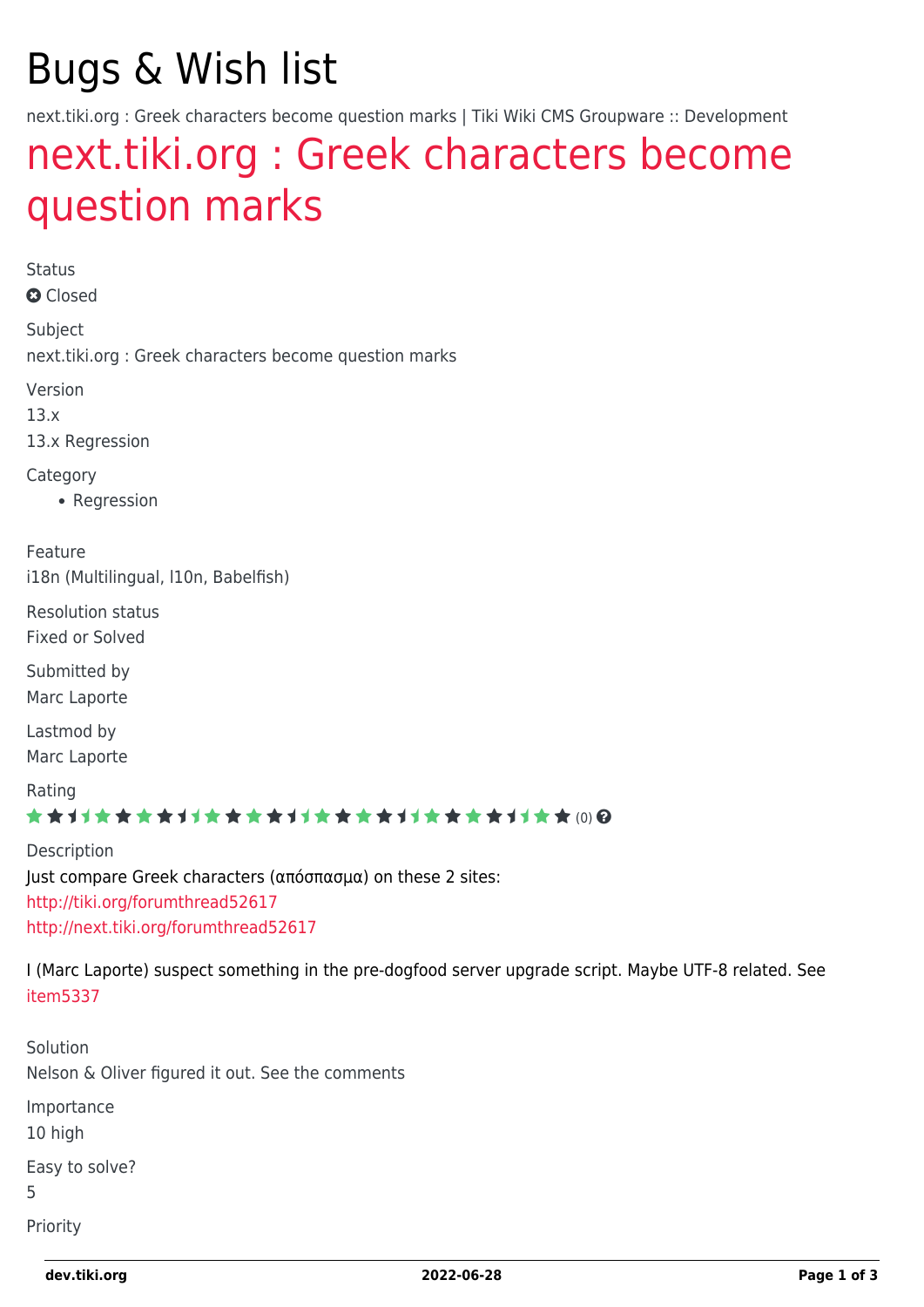# Bugs & Wish list

next.tiki.org : Greek characters become question marks | Tiki Wiki CMS Groupware :: Development

## [next.tiki.org : Greek characters become](https://dev.tiki.org/item5300-next-tiki-org-Greek-characters-become-question-marks) [question marks](https://dev.tiki.org/item5300-next-tiki-org-Greek-characters-become-question-marks)

Status **a** Closed Subject next.tiki.org : Greek characters become question marks Version 13.x 13.x Regression **Category** • Regression Feature i18n (Multilingual, l10n, Babelfish) Resolution status Fixed or Solved Submitted by Marc Laporte Lastmod by Marc Laporte Rating ★★11★★★★11★★★★11★★★★11★★★★11★★ (0) @ Description Just compare Greek characters (απόσπασμα) on these 2 sites: <http://tiki.org/forumthread52617> <http://next.tiki.org/forumthread52617> I (Marc Laporte) suspect something in the pre-dogfood server upgrade script. Maybe UTF-8 related. See [item5337](https://dev.tiki.org/item5337) Solution Nelson & Oliver figured it out. See the comments Importance

10 high

Easy to solve?

5

Priority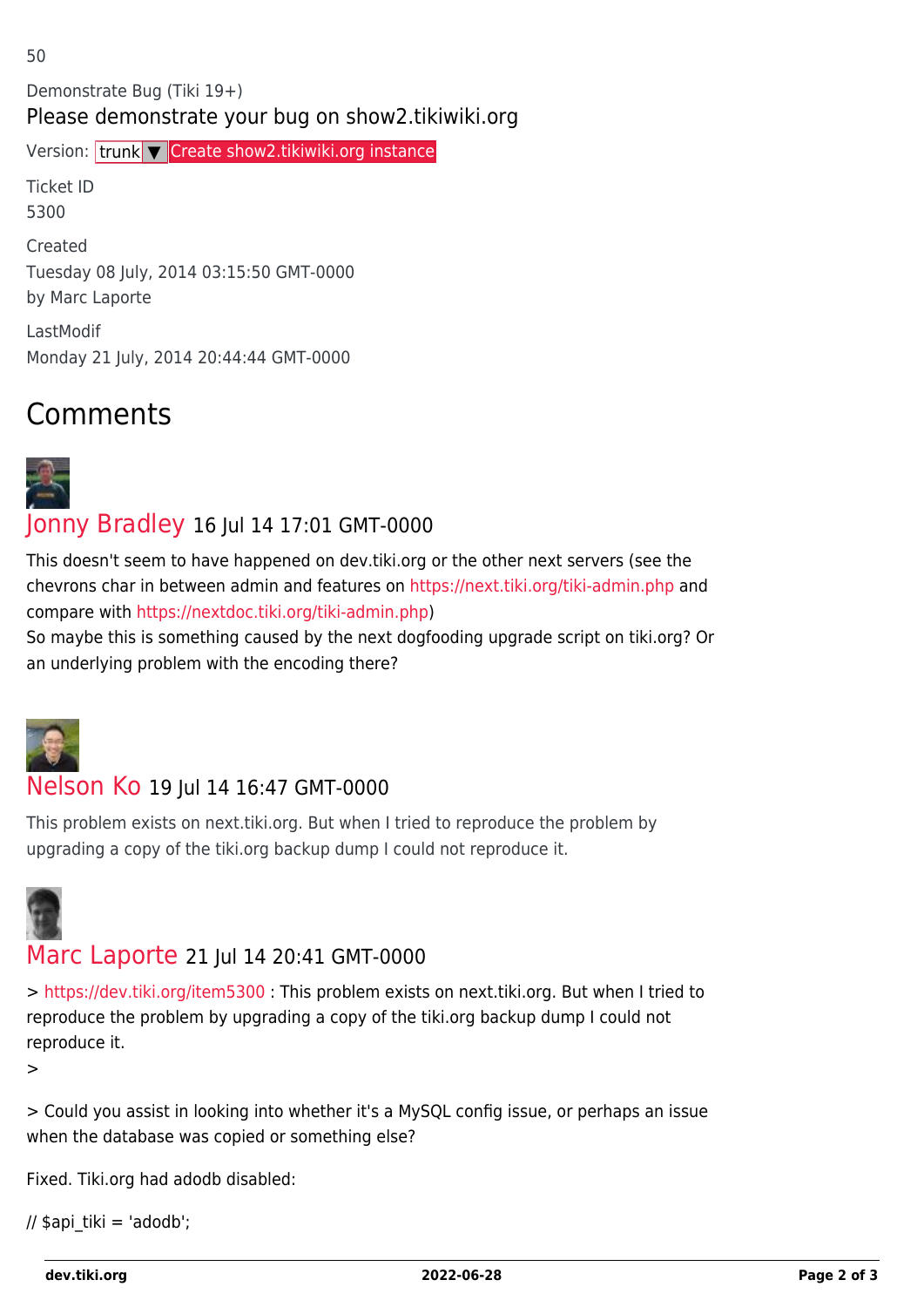Demonstrate Bug (Tiki 19+) Please demonstrate your bug on show2.tikiwiki.org

Version: trunk ▼ [Create show2.tikiwiki.org instance](#page--1-0)

Ticket ID 5300

Created Tuesday 08 July, 2014 03:15:50 GMT-0000 by Marc Laporte

LastModif Monday 21 July, 2014 20:44:44 GMT-0000

## Comments



#### [Jonny Bradley](https://dev.tiki.org/user8515) 16 Jul 14 17:01 GMT-0000

This doesn't seem to have happened on dev.tiki.org or the other next servers (see the chevrons char in between admin and features on<https://next.tiki.org/tiki-admin.php>and compare with<https://nextdoc.tiki.org/tiki-admin.php>)

So maybe this is something caused by the next dogfooding upgrade script on tiki.org? Or an underlying problem with the encoding there?



#### [Nelson Ko](https://dev.tiki.org/user9801) 19 Jul 14 16:47 GMT-0000

This problem exists on next.tiki.org. But when I tried to reproduce the problem by upgrading a copy of the tiki.org backup dump I could not reproduce it.



#### [Marc Laporte](https://dev.tiki.org/user11197) 21 Jul 14 20:41 GMT-0000

> <https://dev.tiki.org/item5300>: This problem exists on next.tiki.org. But when I tried to reproduce the problem by upgrading a copy of the tiki.org backup dump I could not reproduce it.

>

> Could you assist in looking into whether it's a MySQL config issue, or perhaps an issue when the database was copied or something else?

Fixed. Tiki.org had adodb disabled:

```
// \phiapi tiki = 'adodb';
```